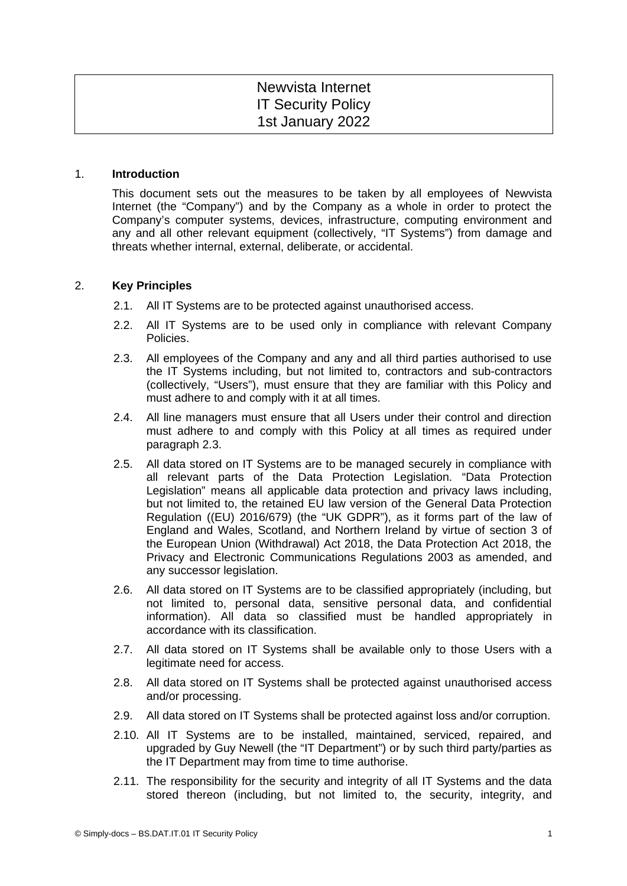# Newvista Internet IT Security Policy 1st January 2022

### 1. **Introduction**

This document sets out the measures to be taken by all employees of Newvista Internet (the "Company") and by the Company as a whole in order to protect the Company's computer systems, devices, infrastructure, computing environment and any and all other relevant equipment (collectively, "IT Systems") from damage and threats whether internal, external, deliberate, or accidental.

## 2. **Key Principles**

- 2.1. All IT Systems are to be protected against unauthorised access.
- 2.2. All IT Systems are to be used only in compliance with relevant Company Policies.
- <span id="page-0-0"></span>2.3. All employees of the Company and any and all third parties authorised to use the IT Systems including, but not limited to, contractors and sub-contractors (collectively, "Users"), must ensure that they are familiar with this Policy and must adhere to and comply with it at all times.
- 2.4. All line managers must ensure that all Users under their control and direction must adhere to and comply with this Policy at all times as required under paragraph [2.3.](#page-0-0)
- 2.5. All data stored on IT Systems are to be managed securely in compliance with all relevant parts of the Data Protection Legislation. "Data Protection Legislation" means all applicable data protection and privacy laws including, but not limited to, the retained EU law version of the General Data Protection Regulation ((EU) 2016/679) (the "UK GDPR"), as it forms part of the law of England and Wales, Scotland, and Northern Ireland by virtue of section 3 of the European Union (Withdrawal) Act 2018, the Data Protection Act 2018, the Privacy and Electronic Communications Regulations 2003 as amended, and any successor legislation.
- 2.6. All data stored on IT Systems are to be classified appropriately (including, but not limited to, personal data, sensitive personal data, and confidential information). All data so classified must be handled appropriately in accordance with its classification.
- 2.7. All data stored on IT Systems shall be available only to those Users with a legitimate need for access.
- 2.8. All data stored on IT Systems shall be protected against unauthorised access and/or processing.
- 2.9. All data stored on IT Systems shall be protected against loss and/or corruption.
- 2.10. All IT Systems are to be installed, maintained, serviced, repaired, and upgraded by Guy Newell (the "IT Department") or by such third party/parties as the IT Department may from time to time authorise.
- 2.11. The responsibility for the security and integrity of all IT Systems and the data stored thereon (including, but not limited to, the security, integrity, and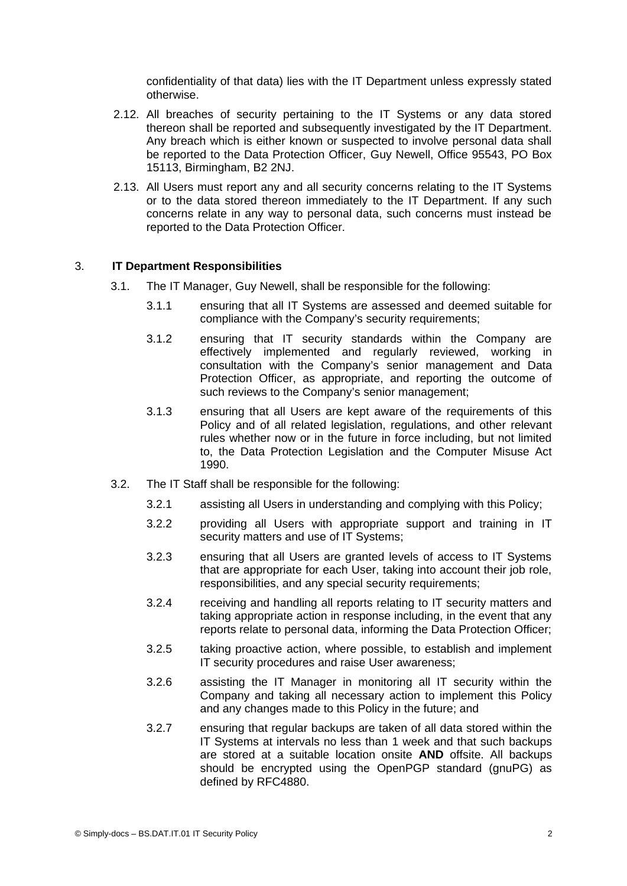confidentiality of that data) lies with the IT Department unless expressly stated otherwise.

- 2.12. All breaches of security pertaining to the IT Systems or any data stored thereon shall be reported and subsequently investigated by the IT Department. Any breach which is either known or suspected to involve personal data shall be reported to the Data Protection Officer, Guy Newell, Office 95543, PO Box 15113, Birmingham, B2 2NJ.
- 2.13. All Users must report any and all security concerns relating to the IT Systems or to the data stored thereon immediately to the IT Department. If any such concerns relate in any way to personal data, such concerns must instead be reported to the Data Protection Officer.

## 3. **IT Department Responsibilities**

- 3.1. The IT Manager, Guy Newell, shall be responsible for the following:
	- 3.1.1 ensuring that all IT Systems are assessed and deemed suitable for compliance with the Company's security requirements;
	- 3.1.2 ensuring that IT security standards within the Company are effectively implemented and regularly reviewed, working in consultation with the Company's senior management and Data Protection Officer, as appropriate, and reporting the outcome of such reviews to the Company's senior management;
	- 3.1.3 ensuring that all Users are kept aware of the requirements of this Policy and of all related legislation, regulations, and other relevant rules whether now or in the future in force including, but not limited to, the Data Protection Legislation and the Computer Misuse Act 1990.
- 3.2. The IT Staff shall be responsible for the following:
	- 3.2.1 assisting all Users in understanding and complying with this Policy;
	- 3.2.2 providing all Users with appropriate support and training in IT security matters and use of IT Systems:
	- 3.2.3 ensuring that all Users are granted levels of access to IT Systems that are appropriate for each User, taking into account their job role, responsibilities, and any special security requirements;
	- 3.2.4 receiving and handling all reports relating to IT security matters and taking appropriate action in response including, in the event that any reports relate to personal data, informing the Data Protection Officer;
	- 3.2.5 taking proactive action, where possible, to establish and implement IT security procedures and raise User awareness;
	- 3.2.6 assisting the IT Manager in monitoring all IT security within the Company and taking all necessary action to implement this Policy and any changes made to this Policy in the future; and
	- 3.2.7 ensuring that regular backups are taken of all data stored within the IT Systems at intervals no less than 1 week and that such backups are stored at a suitable location onsite **AND** offsite. All backups should be encrypted using the OpenPGP standard (gnuPG) as defined by RFC4880.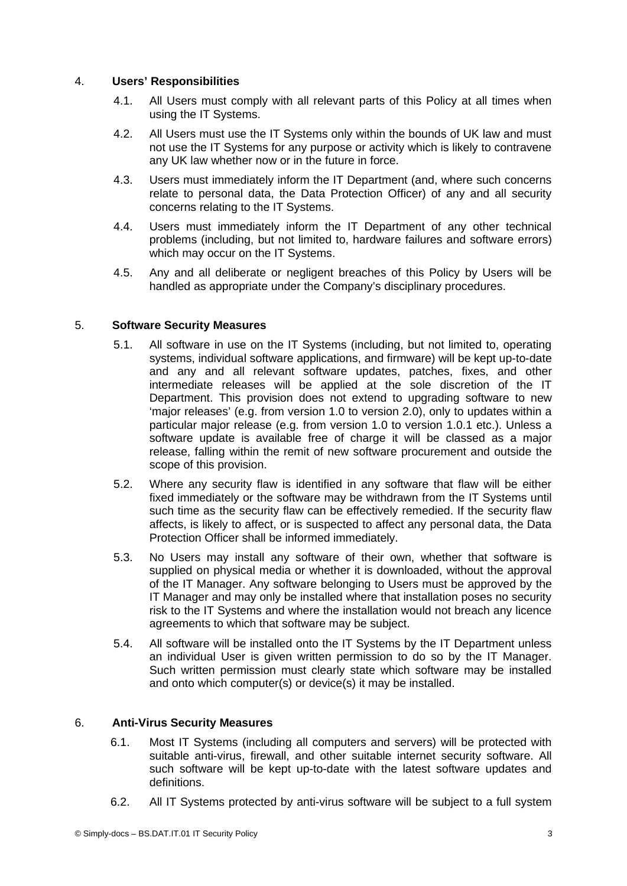# 4. **Users' Responsibilities**

- 4.1. All Users must comply with all relevant parts of this Policy at all times when using the IT Systems.
- 4.2. All Users must use the IT Systems only within the bounds of UK law and must not use the IT Systems for any purpose or activity which is likely to contravene any UK law whether now or in the future in force.
- 4.3. Users must immediately inform the IT Department (and, where such concerns relate to personal data, the Data Protection Officer) of any and all security concerns relating to the IT Systems.
- 4.4. Users must immediately inform the IT Department of any other technical problems (including, but not limited to, hardware failures and software errors) which may occur on the IT Systems.
- 4.5. Any and all deliberate or negligent breaches of this Policy by Users will be handled as appropriate under the Company's disciplinary procedures.

## 5. **Software Security Measures**

- 5.1. All software in use on the IT Systems (including, but not limited to, operating systems, individual software applications, and firmware) will be kept up-to-date and any and all relevant software updates, patches, fixes, and other intermediate releases will be applied at the sole discretion of the IT Department. This provision does not extend to upgrading software to new 'major releases' (e.g. from version 1.0 to version 2.0), only to updates within a particular major release (e.g. from version 1.0 to version 1.0.1 etc.). Unless a software update is available free of charge it will be classed as a major release, falling within the remit of new software procurement and outside the scope of this provision.
- 5.2. Where any security flaw is identified in any software that flaw will be either fixed immediately or the software may be withdrawn from the IT Systems until such time as the security flaw can be effectively remedied. If the security flaw affects, is likely to affect, or is suspected to affect any personal data, the Data Protection Officer shall be informed immediately.
- 5.3. No Users may install any software of their own, whether that software is supplied on physical media or whether it is downloaded, without the approval of the IT Manager. Any software belonging to Users must be approved by the IT Manager and may only be installed where that installation poses no security risk to the IT Systems and where the installation would not breach any licence agreements to which that software may be subject.
- 5.4. All software will be installed onto the IT Systems by the IT Department unless an individual User is given written permission to do so by the IT Manager. Such written permission must clearly state which software may be installed and onto which computer(s) or device(s) it may be installed.

#### 6. **Anti-Virus Security Measures**

- 6.1. Most IT Systems (including all computers and servers) will be protected with suitable anti-virus, firewall, and other suitable internet security software. All such software will be kept up-to-date with the latest software updates and definitions.
- 6.2. All IT Systems protected by anti-virus software will be subject to a full system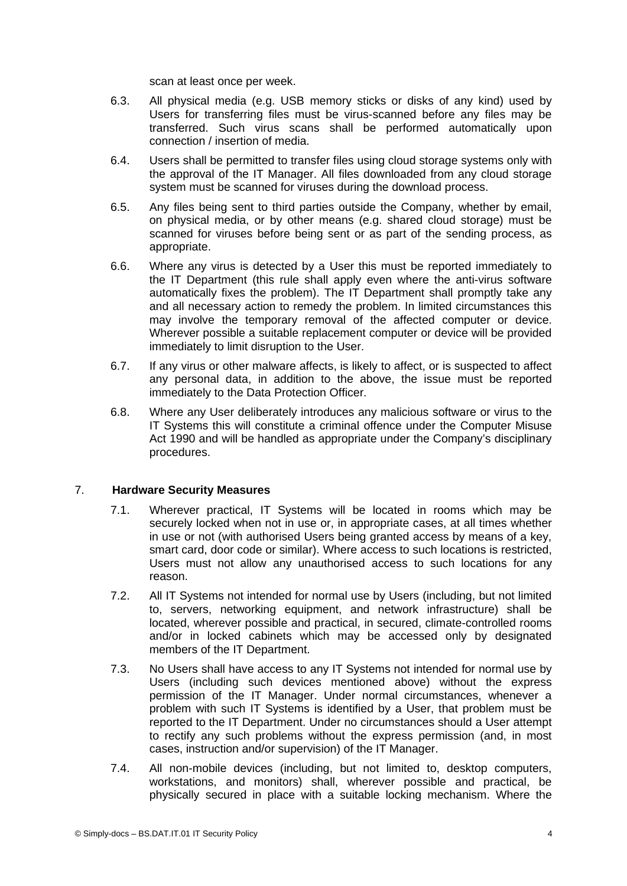scan at least once per week.

- 6.3. All physical media (e.g. USB memory sticks or disks of any kind) used by Users for transferring files must be virus-scanned before any files may be transferred. Such virus scans shall be performed automatically upon connection / insertion of media.
- 6.4. Users shall be permitted to transfer files using cloud storage systems only with the approval of the IT Manager. All files downloaded from any cloud storage system must be scanned for viruses during the download process.
- 6.5. Any files being sent to third parties outside the Company, whether by email, on physical media, or by other means (e.g. shared cloud storage) must be scanned for viruses before being sent or as part of the sending process, as appropriate.
- 6.6. Where any virus is detected by a User this must be reported immediately to the IT Department (this rule shall apply even where the anti-virus software automatically fixes the problem). The IT Department shall promptly take any and all necessary action to remedy the problem. In limited circumstances this may involve the temporary removal of the affected computer or device. Wherever possible a suitable replacement computer or device will be provided immediately to limit disruption to the User.
- 6.7. If any virus or other malware affects, is likely to affect, or is suspected to affect any personal data, in addition to the above, the issue must be reported immediately to the Data Protection Officer.
- 6.8. Where any User deliberately introduces any malicious software or virus to the IT Systems this will constitute a criminal offence under the Computer Misuse Act 1990 and will be handled as appropriate under the Company's disciplinary procedures.

#### 7. **Hardware Security Measures**

- 7.1. Wherever practical, IT Systems will be located in rooms which may be securely locked when not in use or, in appropriate cases, at all times whether in use or not (with authorised Users being granted access by means of a key, smart card, door code or similar). Where access to such locations is restricted, Users must not allow any unauthorised access to such locations for any reason.
- 7.2. All IT Systems not intended for normal use by Users (including, but not limited to, servers, networking equipment, and network infrastructure) shall be located, wherever possible and practical, in secured, climate-controlled rooms and/or in locked cabinets which may be accessed only by designated members of the IT Department.
- 7.3. No Users shall have access to any IT Systems not intended for normal use by Users (including such devices mentioned above) without the express permission of the IT Manager. Under normal circumstances, whenever a problem with such IT Systems is identified by a User, that problem must be reported to the IT Department. Under no circumstances should a User attempt to rectify any such problems without the express permission (and, in most cases, instruction and/or supervision) of the IT Manager.
- 7.4. All non-mobile devices (including, but not limited to, desktop computers, workstations, and monitors) shall, wherever possible and practical, be physically secured in place with a suitable locking mechanism. Where the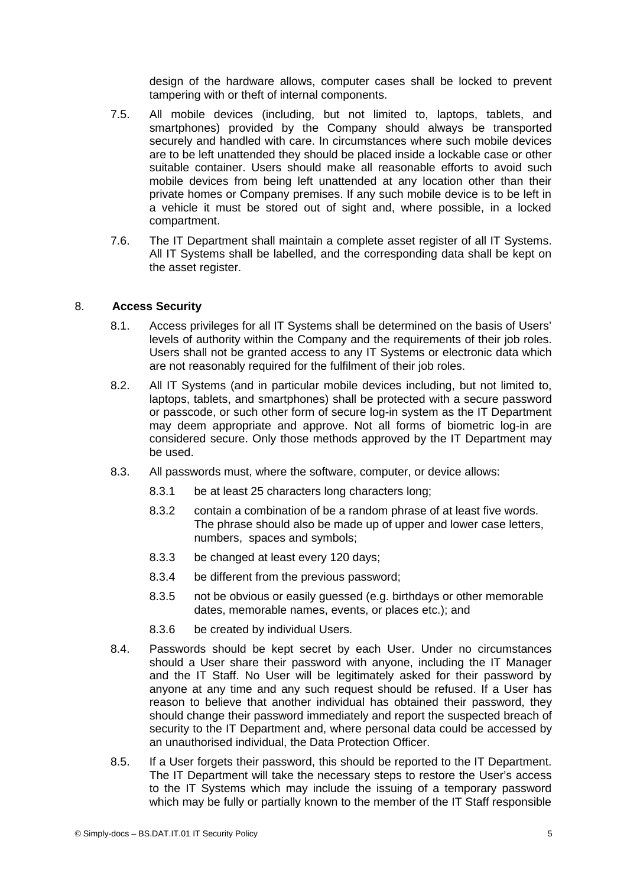design of the hardware allows, computer cases shall be locked to prevent tampering with or theft of internal components.

- 7.5. All mobile devices (including, but not limited to, laptops, tablets, and smartphones) provided by the Company should always be transported securely and handled with care. In circumstances where such mobile devices are to be left unattended they should be placed inside a lockable case or other suitable container. Users should make all reasonable efforts to avoid such mobile devices from being left unattended at any location other than their private homes or Company premises. If any such mobile device is to be left in a vehicle it must be stored out of sight and, where possible, in a locked compartment.
- 7.6. The IT Department shall maintain a complete asset register of all IT Systems. All IT Systems shall be labelled, and the corresponding data shall be kept on the asset register.

# 8. **Access Security**

- 8.1. Access privileges for all IT Systems shall be determined on the basis of Users' levels of authority within the Company and the requirements of their job roles. Users shall not be granted access to any IT Systems or electronic data which are not reasonably required for the fulfilment of their job roles.
- 8.2. All IT Systems (and in particular mobile devices including, but not limited to, laptops, tablets, and smartphones) shall be protected with a secure password or passcode, or such other form of secure log-in system as the IT Department may deem appropriate and approve. Not all forms of biometric log-in are considered secure. Only those methods approved by the IT Department may be used.
- 8.3. All passwords must, where the software, computer, or device allows:
	- 8.3.1 be at least 25 characters long characters long;
	- 8.3.2 contain a combination of be a random phrase of at least five words. The phrase should also be made up of upper and lower case letters, numbers, spaces and symbols;
	- 8.3.3 be changed at least every 120 days;
	- 8.3.4 be different from the previous password;
	- 8.3.5 not be obvious or easily guessed (e.g. birthdays or other memorable dates, memorable names, events, or places etc.); and
	- 8.3.6 be created by individual Users.
- 8.4. Passwords should be kept secret by each User. Under no circumstances should a User share their password with anyone, including the IT Manager and the IT Staff. No User will be legitimately asked for their password by anyone at any time and any such request should be refused. If a User has reason to believe that another individual has obtained their password, they should change their password immediately and report the suspected breach of security to the IT Department and, where personal data could be accessed by an unauthorised individual, the Data Protection Officer.
- 8.5. If a User forgets their password, this should be reported to the IT Department. The IT Department will take the necessary steps to restore the User's access to the IT Systems which may include the issuing of a temporary password which may be fully or partially known to the member of the IT Staff responsible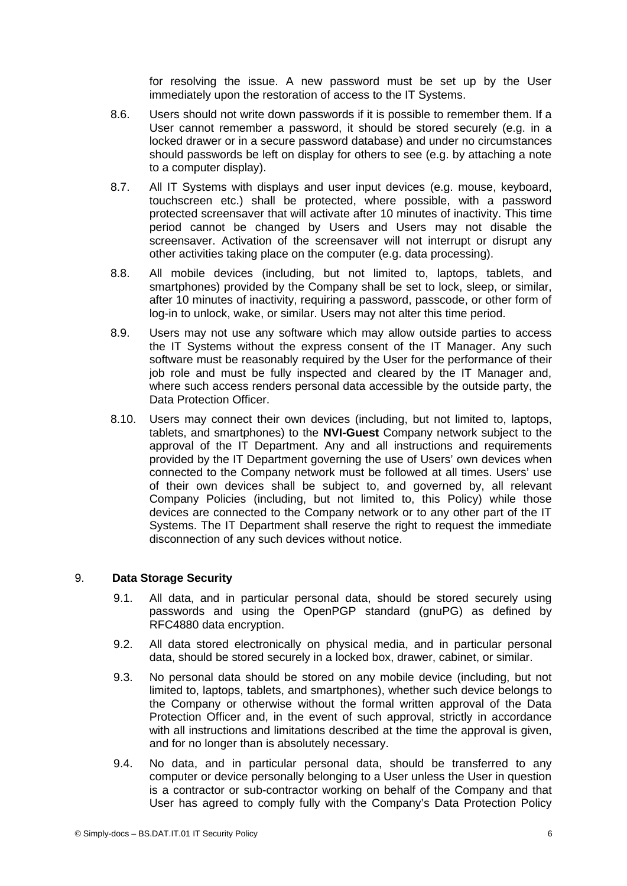for resolving the issue. A new password must be set up by the User immediately upon the restoration of access to the IT Systems.

- 8.6. Users should not write down passwords if it is possible to remember them. If a User cannot remember a password, it should be stored securely (e.g. in a locked drawer or in a secure password database) and under no circumstances should passwords be left on display for others to see (e.g. by attaching a note to a computer display).
- 8.7. All IT Systems with displays and user input devices (e.g. mouse, keyboard, touchscreen etc.) shall be protected, where possible, with a password protected screensaver that will activate after 10 minutes of inactivity. This time period cannot be changed by Users and Users may not disable the screensaver. Activation of the screensaver will not interrupt or disrupt any other activities taking place on the computer (e.g. data processing).
- 8.8. All mobile devices (including, but not limited to, laptops, tablets, and smartphones) provided by the Company shall be set to lock, sleep, or similar, after 10 minutes of inactivity, requiring a password, passcode, or other form of log-in to unlock, wake, or similar. Users may not alter this time period.
- 8.9. Users may not use any software which may allow outside parties to access the IT Systems without the express consent of the IT Manager. Any such software must be reasonably required by the User for the performance of their job role and must be fully inspected and cleared by the IT Manager and, where such access renders personal data accessible by the outside party, the Data Protection Officer.
- 8.10. Users may connect their own devices (including, but not limited to, laptops, tablets, and smartphones) to the **NVI-Guest** Company network subject to the approval of the IT Department. Any and all instructions and requirements provided by the IT Department governing the use of Users' own devices when connected to the Company network must be followed at all times. Users' use of their own devices shall be subject to, and governed by, all relevant Company Policies (including, but not limited to, this Policy) while those devices are connected to the Company network or to any other part of the IT Systems. The IT Department shall reserve the right to request the immediate disconnection of any such devices without notice.

# 9. **Data Storage Security**

- 9.1. All data, and in particular personal data, should be stored securely using passwords and using the OpenPGP standard (gnuPG) as defined by RFC4880 data encryption.
- 9.2. All data stored electronically on physical media, and in particular personal data, should be stored securely in a locked box, drawer, cabinet, or similar.
- 9.3. No personal data should be stored on any mobile device (including, but not limited to, laptops, tablets, and smartphones), whether such device belongs to the Company or otherwise without the formal written approval of the Data Protection Officer and, in the event of such approval, strictly in accordance with all instructions and limitations described at the time the approval is given, and for no longer than is absolutely necessary.
- 9.4. No data, and in particular personal data, should be transferred to any computer or device personally belonging to a User unless the User in question is a contractor or sub-contractor working on behalf of the Company and that User has agreed to comply fully with the Company's Data Protection Policy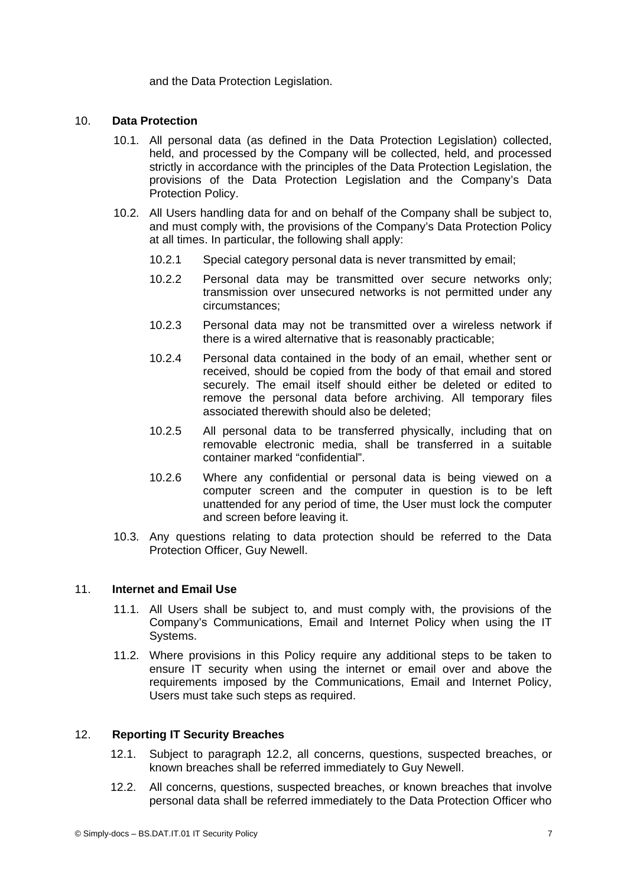and the Data Protection Legislation.

## 10. **Data Protection**

- 10.1. All personal data (as defined in the Data Protection Legislation) collected, held, and processed by the Company will be collected, held, and processed strictly in accordance with the principles of the Data Protection Legislation, the provisions of the Data Protection Legislation and the Company's Data Protection Policy.
- 10.2. All Users handling data for and on behalf of the Company shall be subject to, and must comply with, the provisions of the Company's Data Protection Policy at all times. In particular, the following shall apply:
	- 10.2.1 Special category personal data is never transmitted by email;
	- 10.2.2 Personal data may be transmitted over secure networks only; transmission over unsecured networks is not permitted under any circumstances;
	- 10.2.3 Personal data may not be transmitted over a wireless network if there is a wired alternative that is reasonably practicable;
	- 10.2.4 Personal data contained in the body of an email, whether sent or received, should be copied from the body of that email and stored securely. The email itself should either be deleted or edited to remove the personal data before archiving. All temporary files associated therewith should also be deleted;
	- 10.2.5 All personal data to be transferred physically, including that on removable electronic media, shall be transferred in a suitable container marked "confidential".
	- 10.2.6 Where any confidential or personal data is being viewed on a computer screen and the computer in question is to be left unattended for any period of time, the User must lock the computer and screen before leaving it.
- 10.3. Any questions relating to data protection should be referred to the Data Protection Officer, Guy Newell.

#### 11. **Internet and Email Use**

- 11.1. All Users shall be subject to, and must comply with, the provisions of the Company's Communications, Email and Internet Policy when using the IT Systems.
- 11.2. Where provisions in this Policy require any additional steps to be taken to ensure IT security when using the internet or email over and above the requirements imposed by the Communications, Email and Internet Policy, Users must take such steps as required.

# 12. **Reporting IT Security Breaches**

- 12.1. Subject to paragraph [12.2](#page-6-0), all concerns, questions, suspected breaches, or known breaches shall be referred immediately to Guy Newell.
- <span id="page-6-0"></span>12.2. All concerns, questions, suspected breaches, or known breaches that involve personal data shall be referred immediately to the Data Protection Officer who